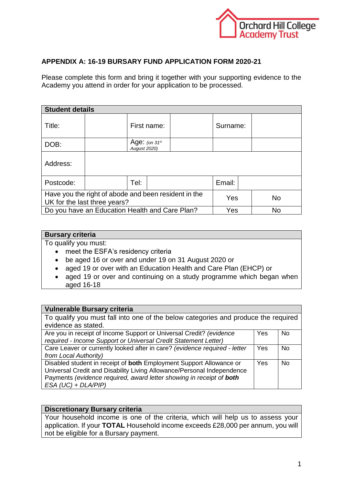

## **APPENDIX A: 16-19 BURSARY FUND APPLICATION FORM 2020-21**

Please complete this form and bring it together with your supporting evidence to the Academy you attend in order for your application to be processed.

| <b>Student details</b>                                                               |                                           |             |     |          |           |  |  |
|--------------------------------------------------------------------------------------|-------------------------------------------|-------------|-----|----------|-----------|--|--|
| Title:                                                                               |                                           | First name: |     | Surname: |           |  |  |
| DOB:                                                                                 | Age: (on $31^{st}$<br><b>August 2020)</b> |             |     |          |           |  |  |
| Address:                                                                             |                                           |             |     |          |           |  |  |
| Postcode:                                                                            |                                           | Tel:        |     |          | Email:    |  |  |
| Have you the right of abode and been resident in the<br>UK for the last three years? |                                           |             | Yes |          | <b>No</b> |  |  |
| Do you have an Education Health and Care Plan?                                       |                                           |             | Yes |          | No        |  |  |

## **Bursary criteria**

To qualify you must:

- meet the ESFA's residency criteria
- be aged 16 or over and under 19 on 31 August 2020 or
- aged 19 or over with an Education Health and Care Plan (EHCP) or
- aged 19 or over and continuing on a study programme which began when aged 16-18

| <b>Vulnerable Bursary criteria</b>                                                 |     |                |
|------------------------------------------------------------------------------------|-----|----------------|
| To qualify you must fall into one of the below categories and produce the required |     |                |
| evidence as stated.                                                                |     |                |
| Are you in receipt of Income Support or Universal Credit? (evidence                | Yes | <b>No</b>      |
| required - Income Support or Universal Credit Statement Letter)                    |     |                |
| Care Leaver or currently looked after in care? (evidence required - letter         | Yes | N <sub>0</sub> |
| from Local Authority)                                                              |     |                |
| Disabled student in receipt of both Employment Support Allowance or                | Yes | N <sub>0</sub> |
| Universal Credit and Disability Living Allowance/Personal Independence             |     |                |
| Payments (evidence required, award letter showing in receipt of both               |     |                |
| $ESA (UC) + DLA/PIP)$                                                              |     |                |

## **Discretionary Bursary criteria**

Your household income is one of the criteria, which will help us to assess your application. If your **TOTAL** Household income exceeds £28,000 per annum, you will not be eligible for a Bursary payment.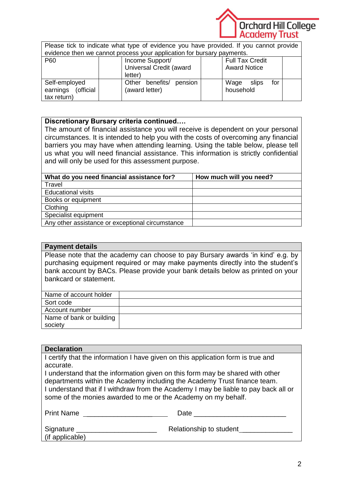

Please tick to indicate what type of evidence you have provided. If you cannot provide evidence then we cannot process your application for bursary payments.

| P60                   | Income Support/               | <b>Full Tax Credit</b> |  |
|-----------------------|-------------------------------|------------------------|--|
|                       | Universal Credit (award       | <b>Award Notice</b>    |  |
|                       | letter)                       |                        |  |
| Self-employed         | benefits/<br>Other<br>pension | for<br>Wage<br>slips   |  |
| earnings<br>(official | (award letter)                | household              |  |
| tax return)           |                               |                        |  |

## **Discretionary Bursary criteria continued….**

The amount of financial assistance you will receive is dependent on your personal circumstances. It is intended to help you with the costs of overcoming any financial barriers you may have when attending learning. Using the table below, please tell us what you will need financial assistance. This information is strictly confidential and will only be used for this assessment purpose.

| What do you need financial assistance for?       | How much will you need? |
|--------------------------------------------------|-------------------------|
| Travel                                           |                         |
| <b>Educational visits</b>                        |                         |
| Books or equipment                               |                         |
| Clothing                                         |                         |
| Specialist equipment                             |                         |
| Any other assistance or exceptional circumstance |                         |

## **Payment details**

Please note that the academy can choose to pay Bursary awards 'in kind' e.g. by purchasing equipment required or may make payments directly into the student's bank account by BACs. Please provide your bank details below as printed on your bankcard or statement.

| Name of bank or building |
|--------------------------|
|                          |
|                          |

## **Declaration**

I certify that the information I have given on this application form is true and accurate.

I understand that the information given on this form may be shared with other departments within the Academy including the Academy Trust finance team. I understand that if I withdraw from the Academy I may be liable to pay back all or some of the monies awarded to me or the Academy on my behalf.

| <b>Print Name</b>            | Date                    |
|------------------------------|-------------------------|
| Signature<br>(if applicable) | Relationship to student |